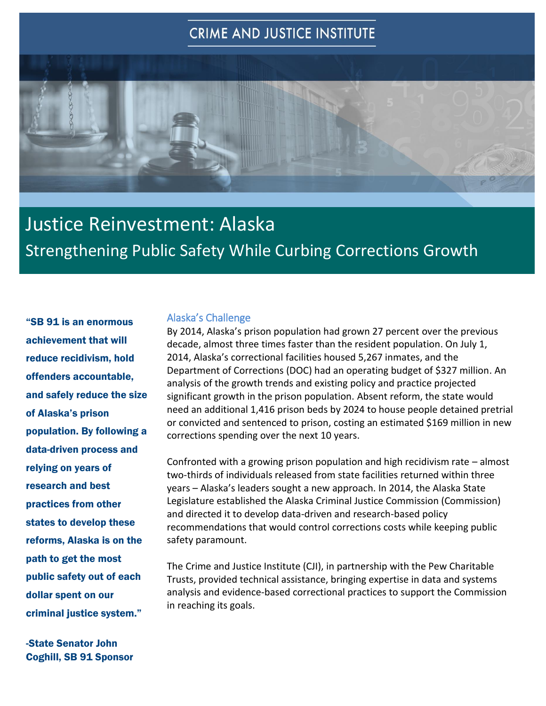## **CRIME AND JUSTICE INSTITUTE**



# Justice Reinvestment: Alaska Strengthening Public Safety While Curbing Corrections Growth

"SB 91 is an enormous achievement that will reduce recidivism, hold offenders accountable, and safely reduce the size of Alaska's prison population. By following a data-driven process and relying on years of research and best practices from other states to develop these reforms, Alaska is on the path to get the most public safety out of each dollar spent on our criminal justice system."

-State Senator John Coghill, SB 91 Sponsor

#### Alaska's Challenge

By 2014, Alaska's prison population had grown 27 percent over the previous decade, almost three times faster than the resident population. On July 1, 2014, Alaska's correctional facilities housed 5,267 inmates, and the Department of Corrections (DOC) had an operating budget of \$327 million. An analysis of the growth trends and existing policy and practice projected significant growth in the prison population. Absent reform, the state would need an additional 1,416 prison beds by 2024 to house people detained pretrial or convicted and sentenced to prison, costing an estimated \$169 million in new corrections spending over the next 10 years.

Confronted with a growing prison population and high recidivism rate – almost two-thirds of individuals released from state facilities returned within three years – Alaska's leaders sought a new approach. In 2014, the Alaska State Legislature established the Alaska Criminal Justice Commission (Commission) and directed it to develop data-driven and research-based policy recommendations that would control corrections costs while keeping public safety paramount.

The Crime and Justice Institute (CJI), in partnership with the Pew Charitable Trusts, provided technical assistance, bringing expertise in data and systems analysis and evidence-based correctional practices to support the Commission in reaching its goals.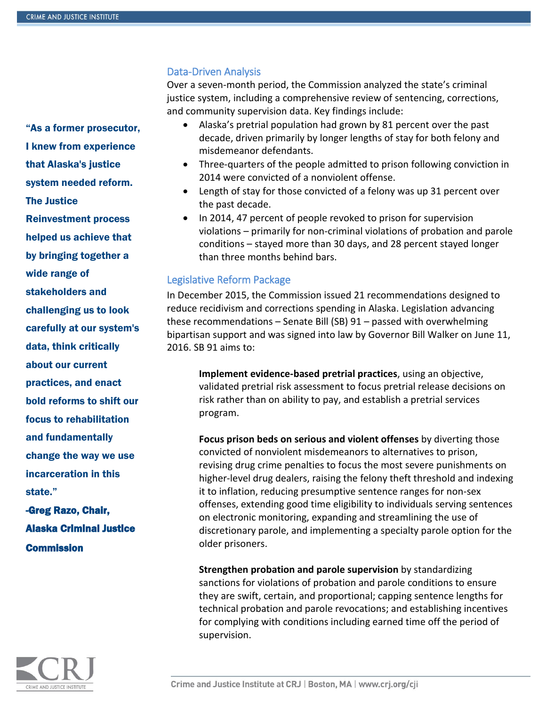"As a former prosecutor, I knew from experience that Alaska's justice system needed reform. The Justice Reinvestment process helped us achieve that by bringing together a wide range of stakeholders and challenging us to look carefully at our system's data, think critically about our current practices, and enact bold reforms to shift our focus to rehabilitation and fundamentally change the way we use incarceration in this state." -Greg Razo, Chair, Alaska Criminal Justice

**Commission** 



#### Data-Driven Analysis

Over a seven-month period, the Commission analyzed the state's criminal justice system, including a comprehensive review of sentencing, corrections, and community supervision data. Key findings include:

- Alaska's pretrial population had grown by 81 percent over the past decade, driven primarily by longer lengths of stay for both felony and misdemeanor defendants.
- Three-quarters of the people admitted to prison following conviction in 2014 were convicted of a nonviolent offense.
- Length of stay for those convicted of a felony was up 31 percent over the past decade.
- In 2014, 47 percent of people revoked to prison for supervision violations – primarily for non-criminal violations of probation and parole conditions – stayed more than 30 days, and 28 percent stayed longer than three months behind bars.

#### Legislative Reform Package

In December 2015, the Commission issued 21 recommendations designed to reduce recidivism and corrections spending in Alaska. Legislation advancing these recommendations – Senate Bill (SB) 91 – passed with overwhelming bipartisan support and was signed into law by Governor Bill Walker on June 11, 2016. SB 91 aims to:

**Implement evidence-based pretrial practices**, using an objective, validated pretrial risk assessment to focus pretrial release decisions on risk rather than on ability to pay, and establish a pretrial services program.

**Focus prison beds on serious and violent offenses** by diverting those convicted of nonviolent misdemeanors to alternatives to prison, revising drug crime penalties to focus the most severe punishments on higher-level drug dealers, raising the felony theft threshold and indexing it to inflation, reducing presumptive sentence ranges for non-sex offenses, extending good time eligibility to individuals serving sentences on electronic monitoring, expanding and streamlining the use of discretionary parole, and implementing a specialty parole option for the older prisoners.

**Strengthen probation and parole supervision** by standardizing sanctions for violations of probation and parole conditions to ensure they are swift, certain, and proportional; capping sentence lengths for technical probation and parole revocations; and establishing incentives for complying with conditions including earned time off the period of supervision.